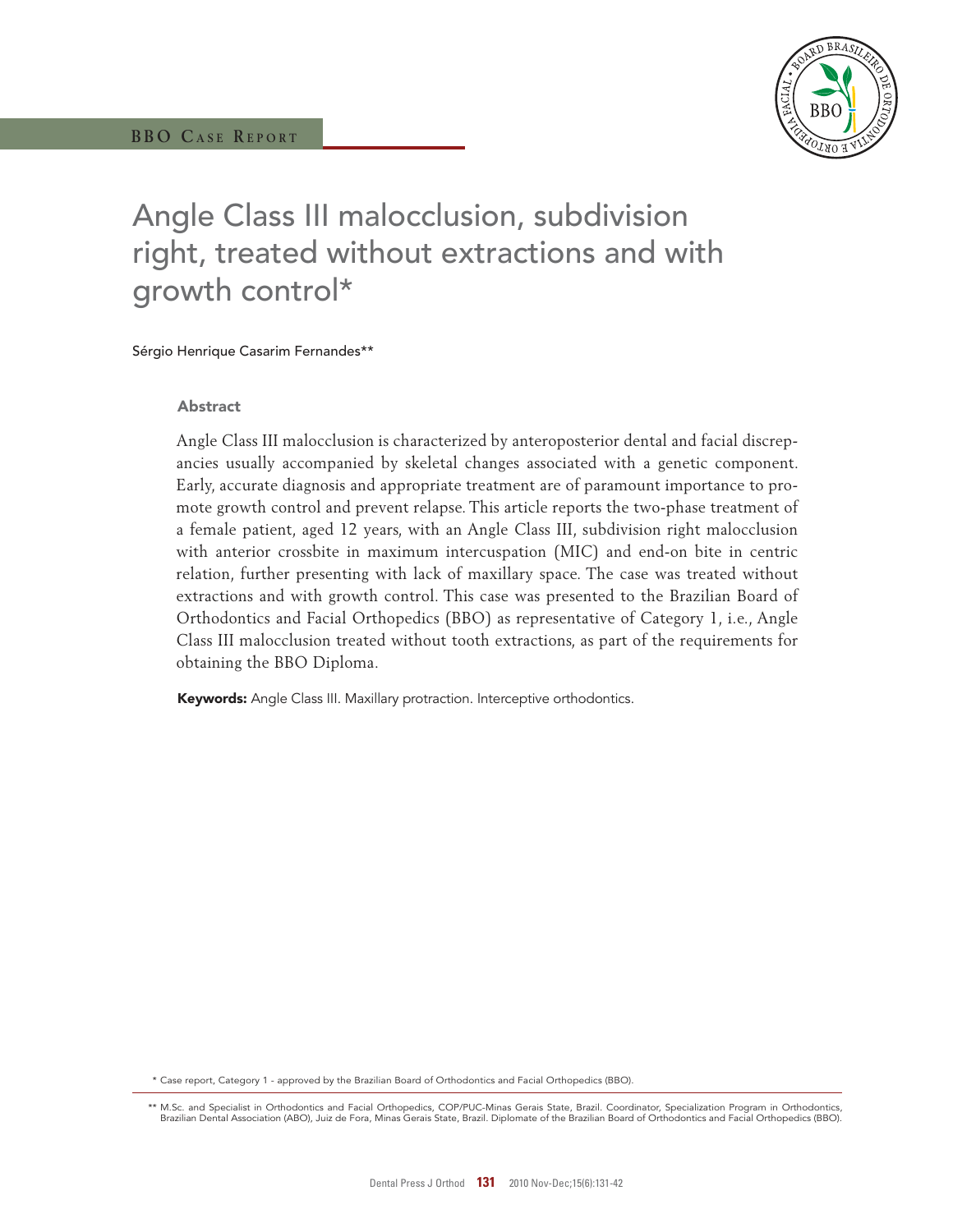

# Angle Class III malocclusion, subdivision right, treated without extractions and with growth control\*

Sérgio Henrique Casarim Fernandes\*\*

## Abstract

Angle Class III malocclusion is characterized by anteroposterior dental and facial discrepancies usually accompanied by skeletal changes associated with a genetic component. Early, accurate diagnosis and appropriate treatment are of paramount importance to promote growth control and prevent relapse. This article reports the two-phase treatment of a female patient, aged 12 years, with an Angle Class III, subdivision right malocclusion with anterior crossbite in maximum intercuspation (MIC) and end-on bite in centric relation, further presenting with lack of maxillary space. The case was treated without extractions and with growth control. This case was presented to the Brazilian Board of Orthodontics and Facial Orthopedics (BBO) as representative of Category 1, i.e., Angle Class III malocclusion treated without tooth extractions, as part of the requirements for obtaining the BBO Diploma.

Keywords: Angle Class III. Maxillary protraction. Interceptive orthodontics.

\* Case report, Category 1 - approved by the Brazilian Board of Orthodontics and Facial Orthopedics (BBO).

<sup>\*\*</sup> M.Sc. and Specialist in Orthodontics and Facial Orthopedics, COP/PUC-Minas Gerais State, Brazil. Coordinator, Specialization Program in Orthodontics, Brazilian Dental Association (ABO), Juiz de Fora, Minas Gerais State, Brazil. Diplomate of the Brazilian Board of Orthodontics and Facial Orthopedics (BBO).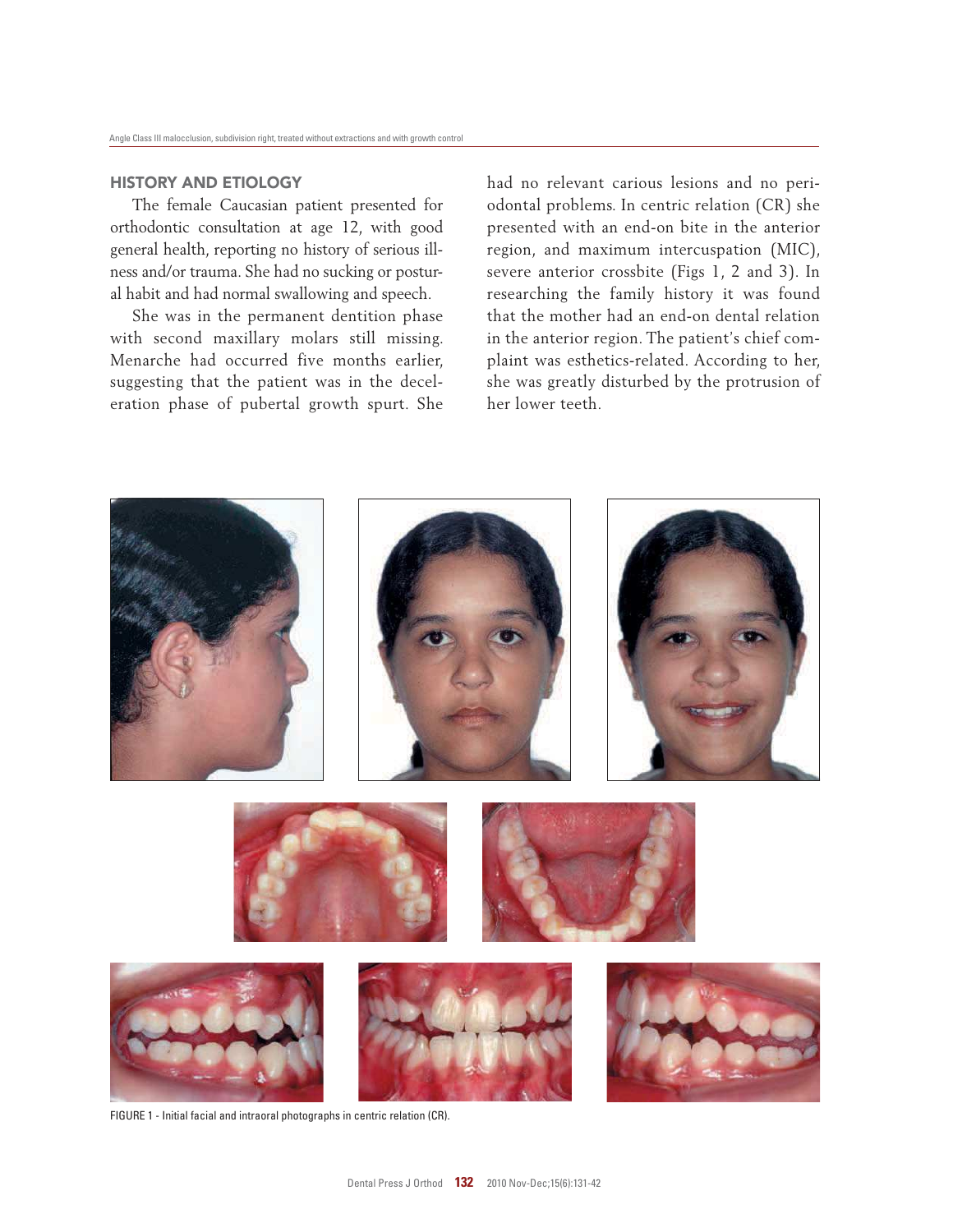# HIStORY AnD EtIOLOGY

The female Caucasian patient presented for orthodontic consultation at age 12, with good general health, reporting no history of serious illness and/or trauma. She had no sucking or postural habit and had normal swallowing and speech.

She was in the permanent dentition phase with second maxillary molars still missing. Menarche had occurred five months earlier, suggesting that the patient was in the deceleration phase of pubertal growth spurt. She had no relevant carious lesions and no periodontal problems. In centric relation (CR) she presented with an end-on bite in the anterior region, and maximum intercuspation (MIC), severe anterior crossbite (Figs 1, 2 and 3). In researching the family history it was found that the mother had an end-on dental relation in the anterior region. The patient's chief complaint was esthetics-related. According to her, she was greatly disturbed by the protrusion of her lower teeth.



FIGURE 1 - Initial facial and intraoral photographs in centric relation (CR).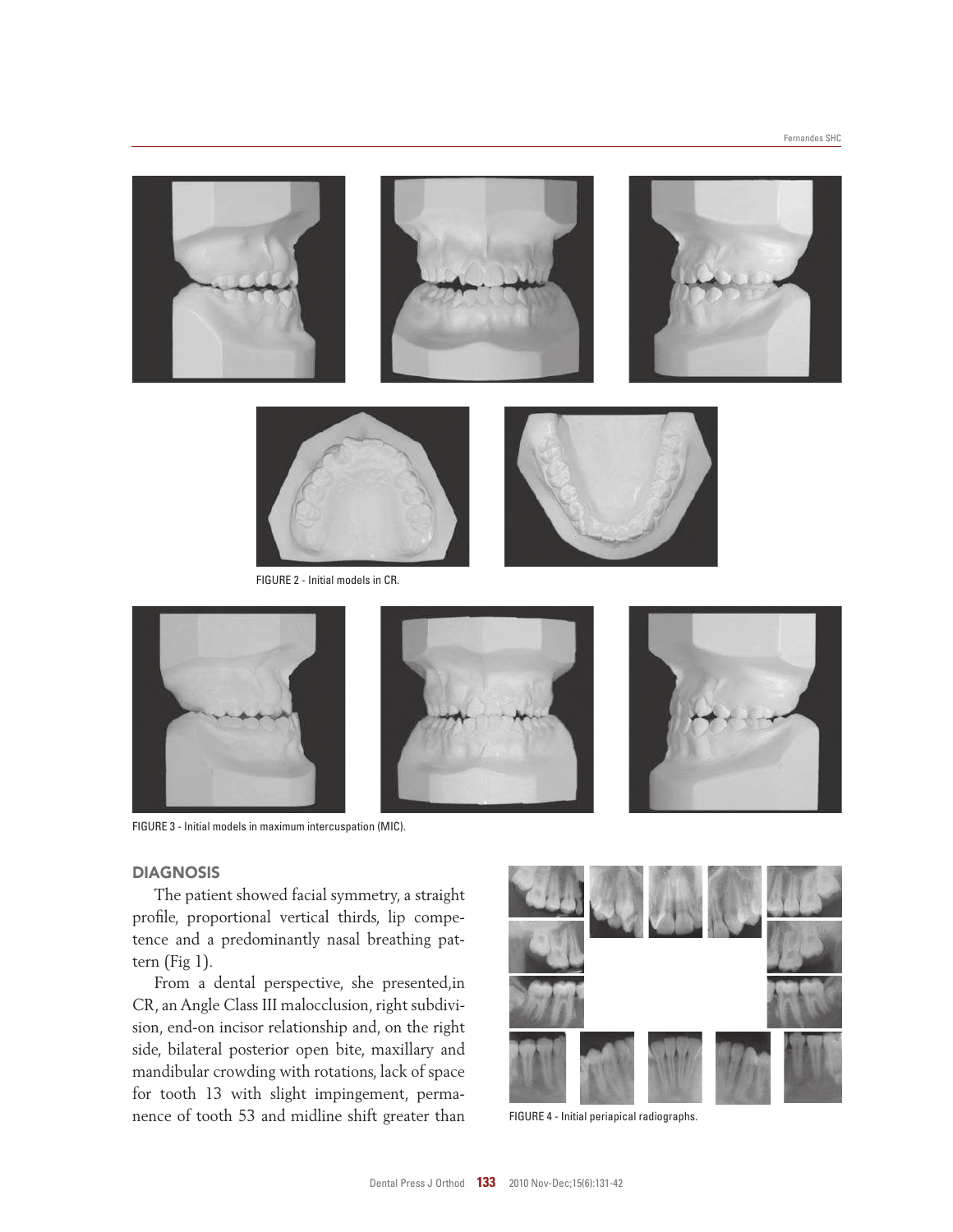





FIGURE 2 - Initial models in CR.



FIGURE 3 - Initial models in maximum intercuspation (MIC).

## **DIAGNOSIS**

The patient showed facial symmetry, a straight profile, proportional vertical thirds, lip competence and a predominantly nasal breathing pattern (Fig 1).

From a dental perspective, she presented,in CR, an Angle Class III malocclusion, right subdivision, end-on incisor relationship and, on the right side, bilateral posterior open bite, maxillary and mandibular crowding with rotations, lack of space for tooth 13 with slight impingement, permanence of tooth 53 and midline shift greater than



FIGURE 4 - Initial periapical radiographs.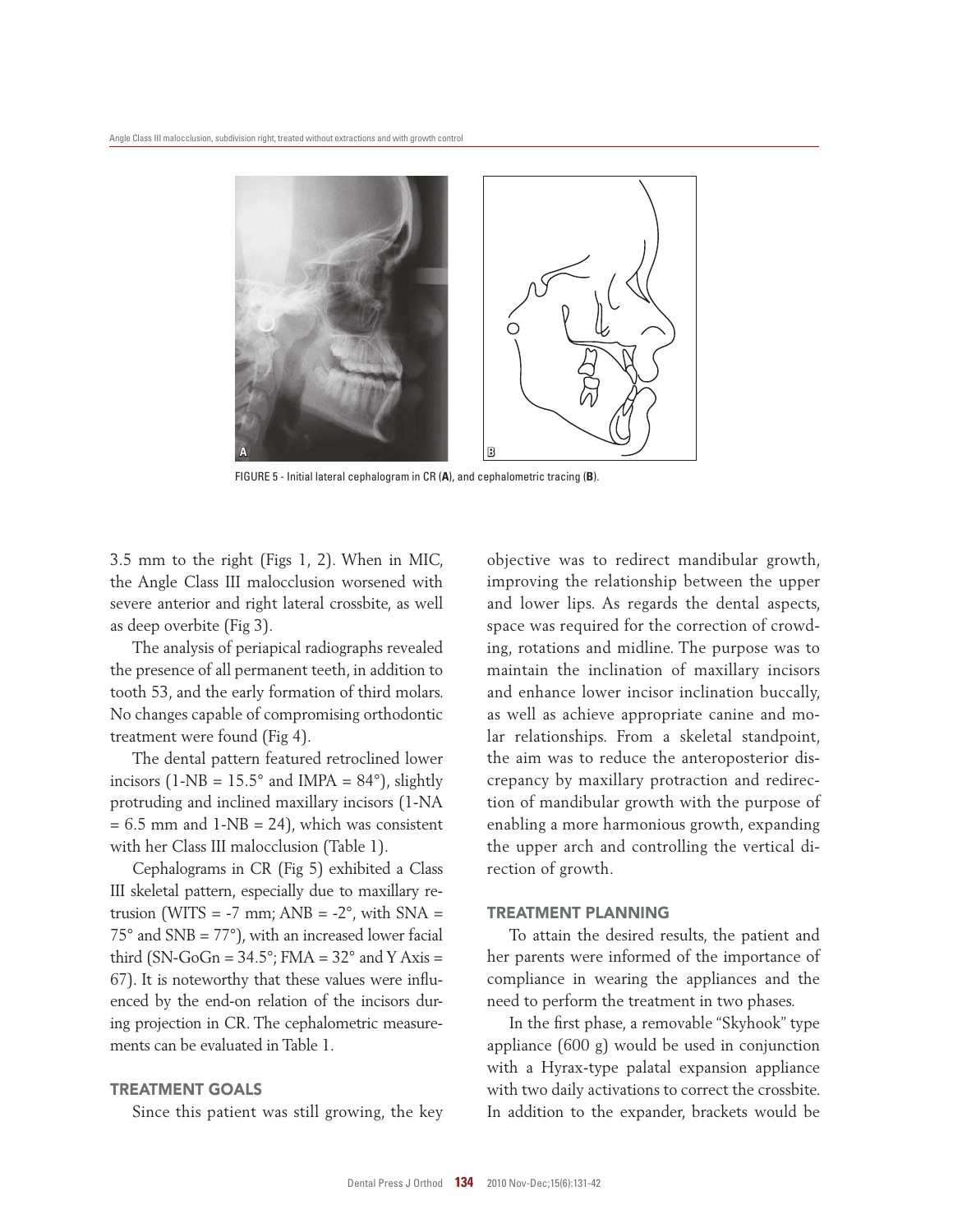

FIGURE 5 - Initial lateral cephalogram in CR (**A**), and cephalometric tracing (**B**).

3.5 mm to the right (Figs 1, 2). When in MIC, the Angle Class III malocclusion worsened with severe anterior and right lateral crossbite, as well as deep overbite (Fig 3).

The analysis of periapical radiographs revealed the presence of all permanent teeth, in addition to tooth 53, and the early formation of third molars. No changes capable of compromising orthodontic treatment were found (Fig 4).

The dental pattern featured retroclined lower incisors (1-NB =  $15.5^{\circ}$  and IMPA =  $84^{\circ}$ ), slightly protruding and inclined maxillary incisors (1-NA  $= 6.5$  mm and  $1-NB = 24$ ), which was consistent with her Class III malocclusion (Table 1).

Cephalograms in CR (Fig 5) exhibited a Class III skeletal pattern, especially due to maxillary retrusion (WITS =  $-7$  mm; ANB =  $-2^{\circ}$ , with SNA =  $75^\circ$  and SNB =  $77^\circ$ ), with an increased lower facial third (SN-GoGn =  $34.5^{\circ}$ ; FMA =  $32^{\circ}$  and Y Axis = 67). It is noteworthy that these values were influenced by the end-on relation of the incisors during projection in CR. The cephalometric measurements can be evaluated in Table 1.

# TREATMEnT GOALS

Since this patient was still growing, the key

objective was to redirect mandibular growth, improving the relationship between the upper and lower lips. As regards the dental aspects, space was required for the correction of crowding, rotations and midline. The purpose was to maintain the inclination of maxillary incisors and enhance lower incisor inclination buccally, as well as achieve appropriate canine and molar relationships. From a skeletal standpoint, the aim was to reduce the anteroposterior discrepancy by maxillary protraction and redirection of mandibular growth with the purpose of enabling a more harmonious growth, expanding the upper arch and controlling the vertical direction of growth.

#### tREAtMEnt PLAnnInG

To attain the desired results, the patient and her parents were informed of the importance of compliance in wearing the appliances and the need to perform the treatment in two phases.

In the first phase, a removable "Skyhook" type appliance (600 g) would be used in conjunction with a Hyrax-type palatal expansion appliance with two daily activations to correct the crossbite. In addition to the expander, brackets would be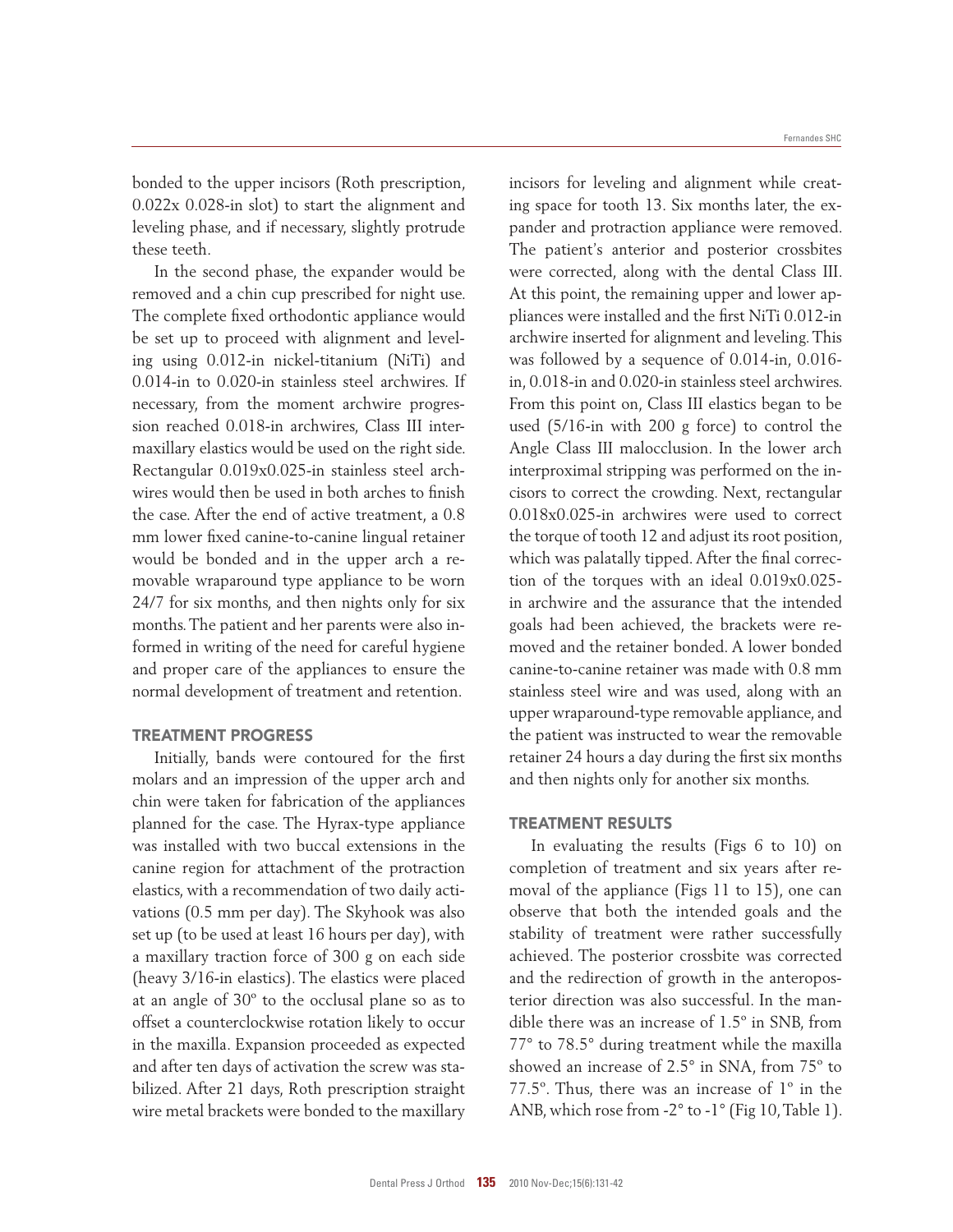bonded to the upper incisors (Roth prescription, 0.022x 0.028-in slot) to start the alignment and leveling phase, and if necessary, slightly protrude these teeth.

In the second phase, the expander would be removed and a chin cup prescribed for night use. The complete fixed orthodontic appliance would be set up to proceed with alignment and leveling using 0.012-in nickel-titanium (NiTi) and 0.014-in to 0.020-in stainless steel archwires. If necessary, from the moment archwire progression reached 0.018-in archwires, Class III intermaxillary elastics would be used on the right side. Rectangular 0.019x0.025-in stainless steel archwires would then be used in both arches to finish the case. After the end of active treatment, a 0.8 mm lower fixed canine-to-canine lingual retainer would be bonded and in the upper arch a removable wraparound type appliance to be worn 24/7 for six months, and then nights only for six months. The patient and her parents were also informed in writing of the need for careful hygiene and proper care of the appliances to ensure the normal development of treatment and retention.

#### TREATMEnT PROGRESS

Initially, bands were contoured for the first molars and an impression of the upper arch and chin were taken for fabrication of the appliances planned for the case. The Hyrax-type appliance was installed with two buccal extensions in the canine region for attachment of the protraction elastics, with a recommendation of two daily activations (0.5 mm per day). The Skyhook was also set up (to be used at least 16 hours per day), with a maxillary traction force of 300 g on each side (heavy 3/16-in elastics). The elastics were placed at an angle of 30º to the occlusal plane so as to offset a counterclockwise rotation likely to occur in the maxilla. Expansion proceeded as expected and after ten days of activation the screw was stabilized. After 21 days, Roth prescription straight wire metal brackets were bonded to the maxillary

incisors for leveling and alignment while creating space for tooth 13. Six months later, the expander and protraction appliance were removed. The patient's anterior and posterior crossbites were corrected, along with the dental Class III. At this point, the remaining upper and lower appliances were installed and the first NiTi 0.012-in archwire inserted for alignment and leveling. This was followed by a sequence of 0.014-in, 0.016 in, 0.018-in and 0.020-in stainless steel archwires. From this point on, Class III elastics began to be used (5/16-in with 200 g force) to control the Angle Class III malocclusion. In the lower arch interproximal stripping was performed on the incisors to correct the crowding. Next, rectangular 0.018x0.025-in archwires were used to correct the torque of tooth 12 and adjust its root position, which was palatally tipped. After the final correction of the torques with an ideal 0.019x0.025 in archwire and the assurance that the intended goals had been achieved, the brackets were removed and the retainer bonded. A lower bonded canine-to-canine retainer was made with 0.8 mm stainless steel wire and was used, along with an upper wraparound-type removable appliance, and the patient was instructed to wear the removable retainer 24 hours a day during the first six months and then nights only for another six months.

### TREATMEnT RESULTS

In evaluating the results (Figs 6 to 10) on completion of treatment and six years after removal of the appliance (Figs 11 to 15), one can observe that both the intended goals and the stability of treatment were rather successfully achieved. The posterior crossbite was corrected and the redirection of growth in the anteroposterior direction was also successful. In the mandible there was an increase of 1.5º in SNB, from 77° to 78.5° during treatment while the maxilla showed an increase of 2.5° in SNA, from 75º to 77.5º. Thus, there was an increase of 1º in the ANB, which rose from -2° to -1° (Fig 10, Table 1).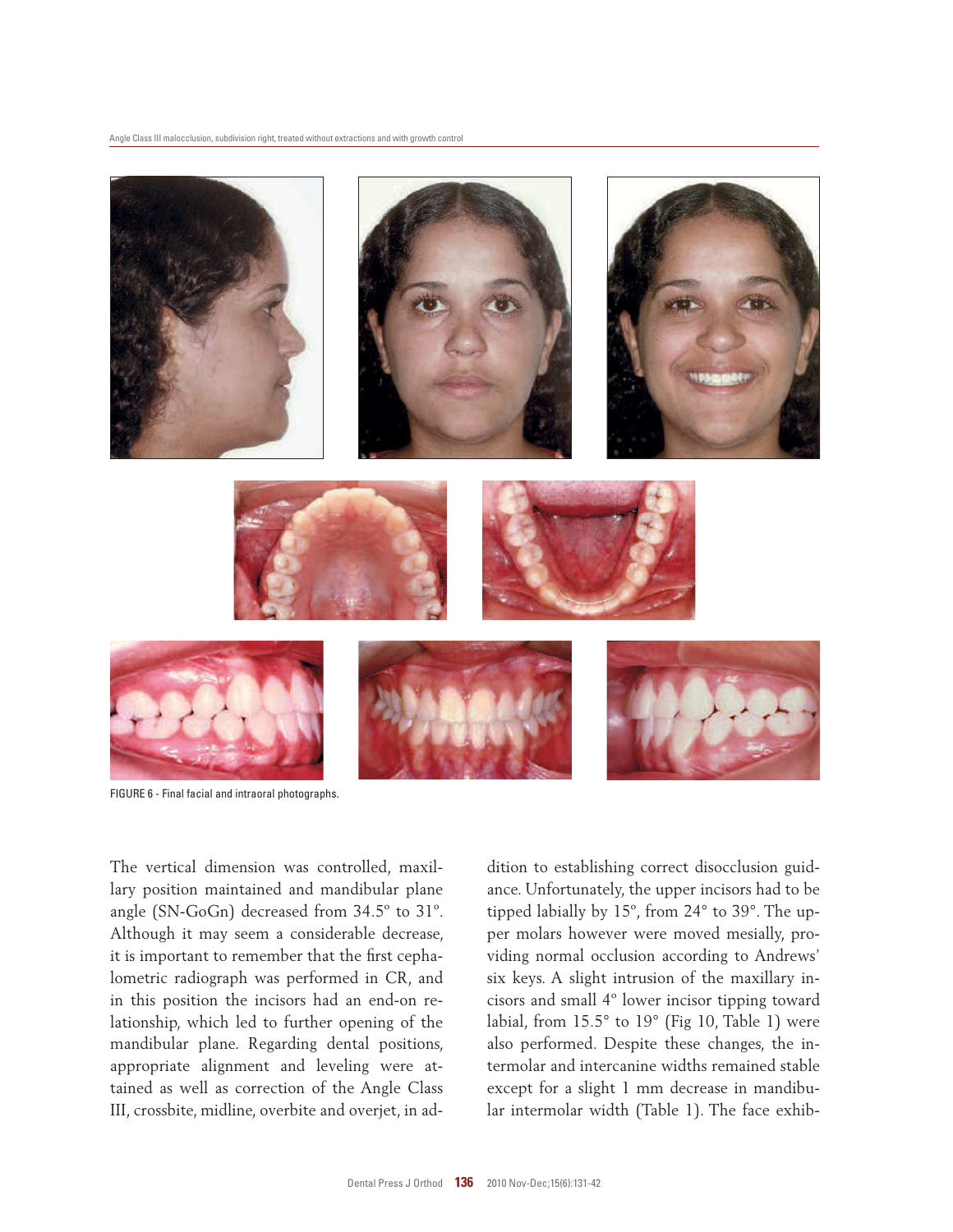

FIGURE 6 - Final facial and intraoral photographs.

The vertical dimension was controlled, maxillary position maintained and mandibular plane angle (SN-GoGn) decreased from 34.5º to 31º. Although it may seem a considerable decrease, it is important to remember that the first cephalometric radiograph was performed in CR, and in this position the incisors had an end-on relationship, which led to further opening of the mandibular plane. Regarding dental positions, appropriate alignment and leveling were attained as well as correction of the Angle Class III, crossbite, midline, overbite and overjet, in addition to establishing correct disocclusion guidance. Unfortunately, the upper incisors had to be tipped labially by 15º, from 24° to 39°. The upper molars however were moved mesially, providing normal occlusion according to Andrews' six keys. A slight intrusion of the maxillary incisors and small 4º lower incisor tipping toward labial, from 15.5° to 19° (Fig 10, Table 1) were also performed. Despite these changes, the intermolar and intercanine widths remained stable except for a slight 1 mm decrease in mandibular intermolar width (Table 1). The face exhib-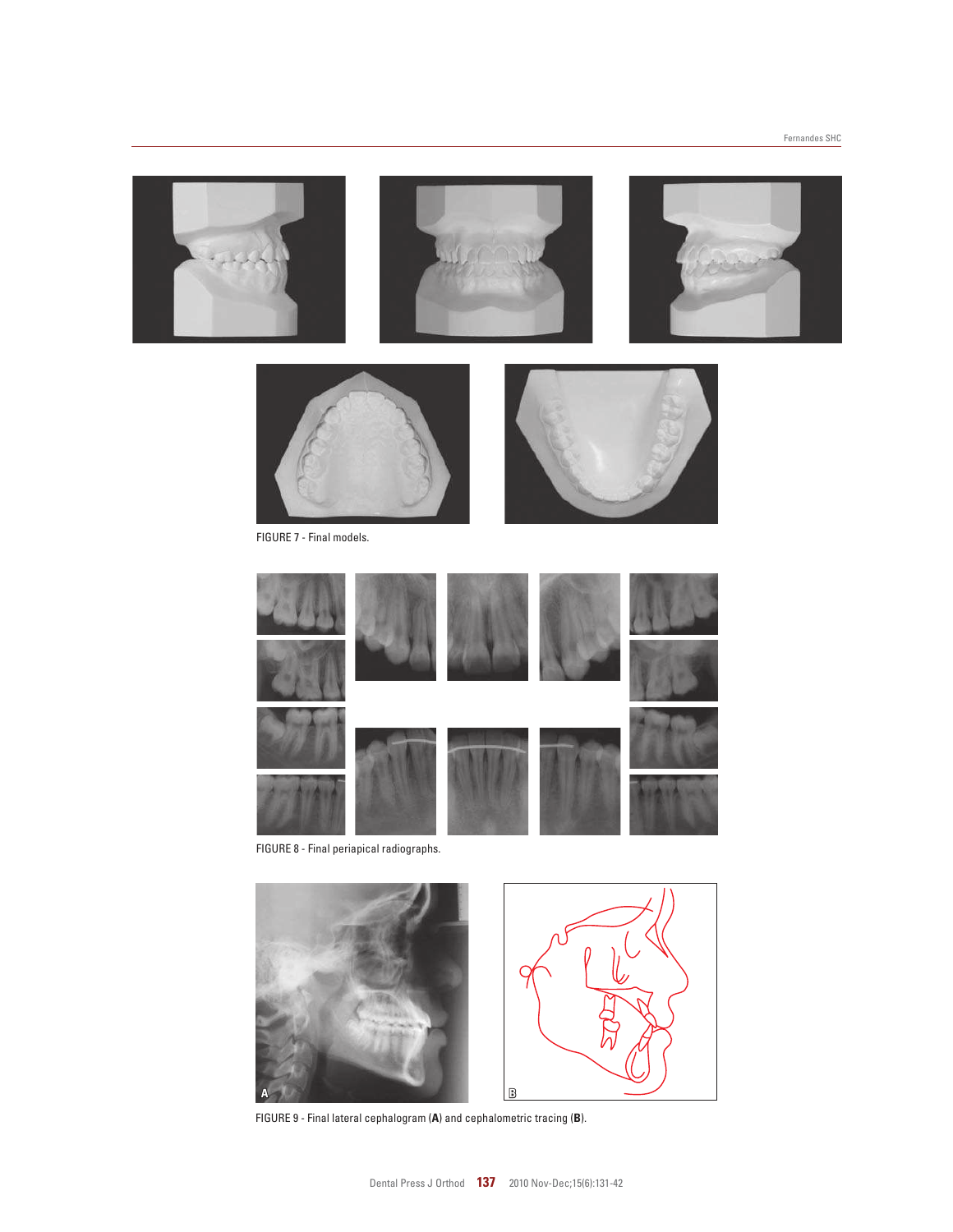







FIGURE 9 - Final lateral cephalogram (**A**) and cephalometric tracing (**B**).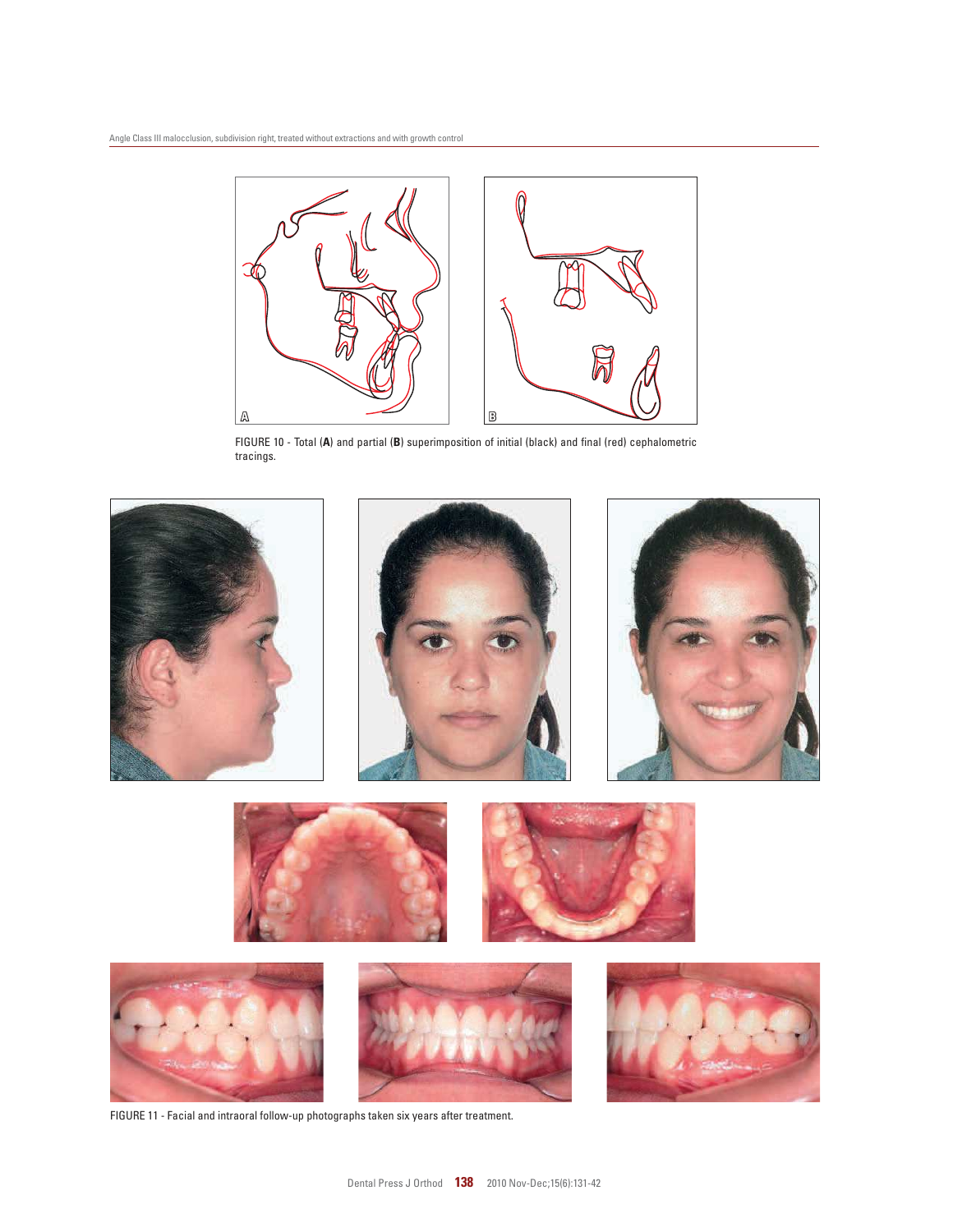

FIGURE 10 - Total (**A**) and partial (**B**) superimposition of initial (black) and final (red) cephalometric tracings.



FIGURE 11 - Facial and intraoral follow-up photographs taken six years after treatment.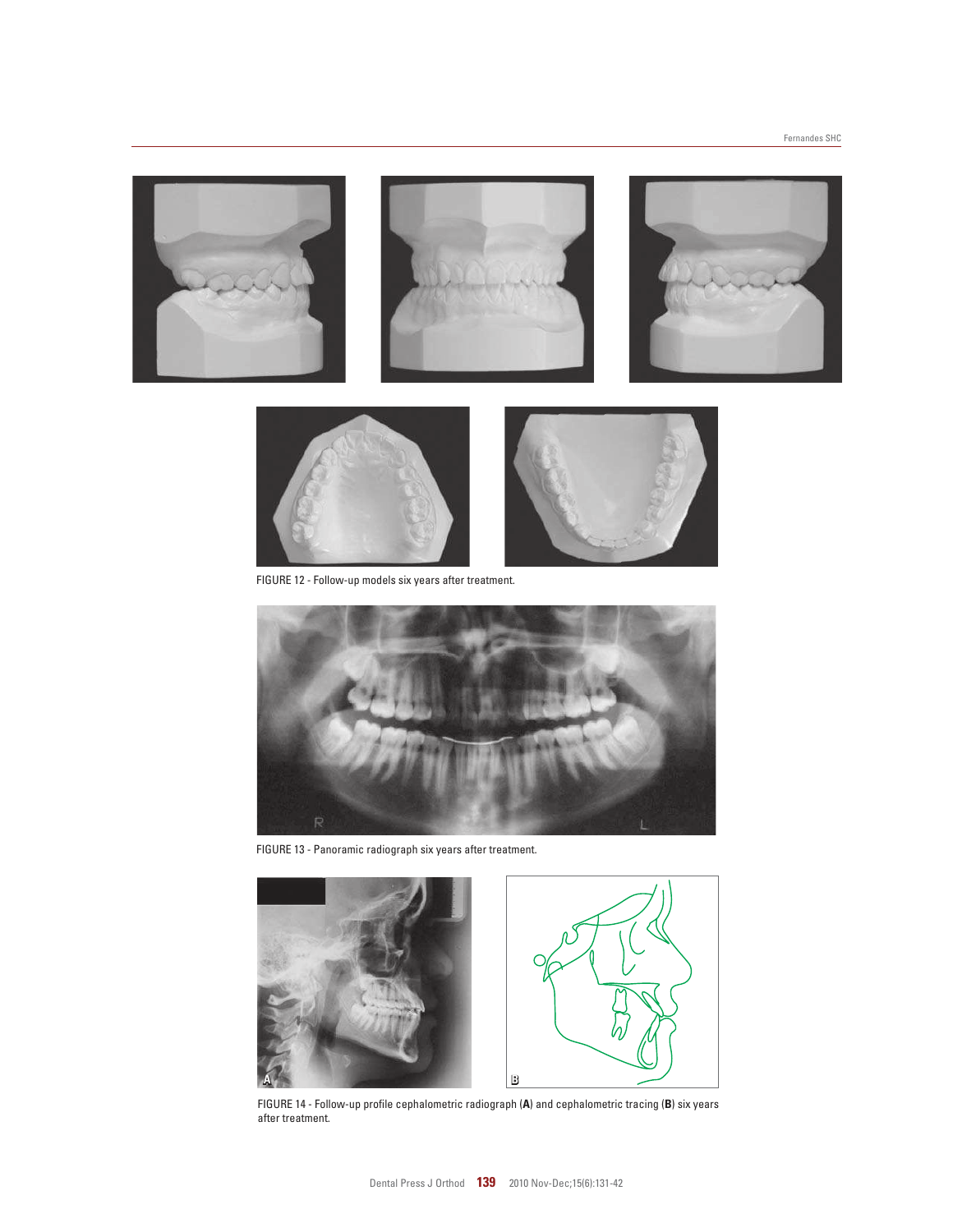



FIGURE 12 - Follow-up models six years after treatment.



FIGURE 13 - Panoramic radiograph six years after treatment.





FIGURE 14 - Follow-up profile cephalometric radiograph (**A**) and cephalometric tracing (**B**) six years after treatment.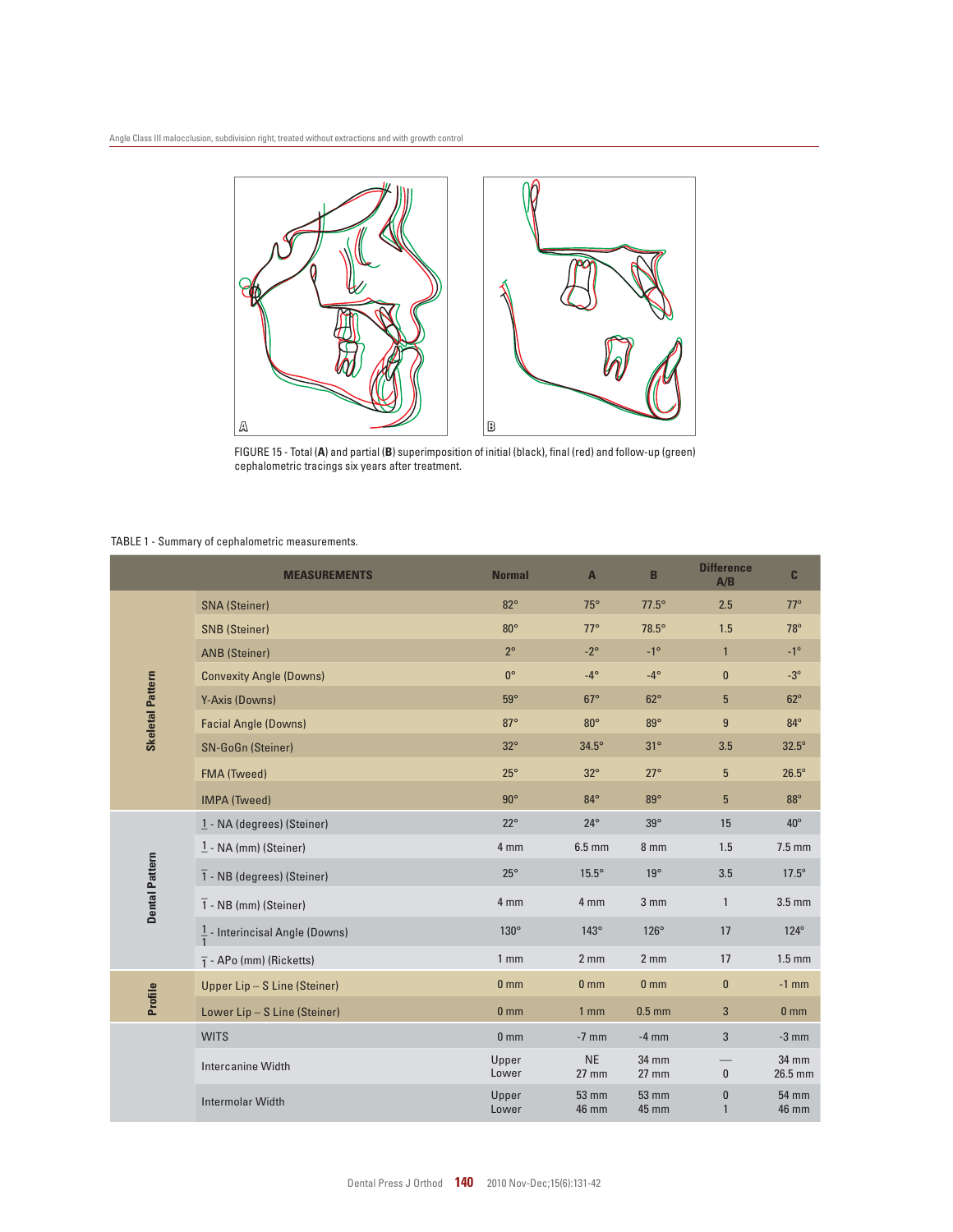

FIGURE 15 - Total (**A**) and partial (**B**) superimposition of initial (black), final (red) and follow-up (green) cephalometric tracings six years after treatment.

#### TABLE 1 - Summary of cephalometric measurements.

|                         | <b>MEASUREMENTS</b>                        | <b>Normal</b>   | $\mathbf{A}$                 | B                     | <b>Difference</b><br>A/B | $\mathbf{c}$                 |
|-------------------------|--------------------------------------------|-----------------|------------------------------|-----------------------|--------------------------|------------------------------|
| <b>Skeletal Pattern</b> | <b>SNA</b> (Steiner)                       | $82^\circ$      | $75^\circ$                   | $77.5^\circ$          | 2.5                      | $77^\circ$                   |
|                         | <b>SNB</b> (Steiner)                       | $80^\circ$      | $77^\circ$                   | 78.5°                 | 1.5                      | 78°                          |
|                         | <b>ANB</b> (Steiner)                       | $2^{\circ}$     | $-2^\circ$                   | $-1^{\circ}$          | $\mathbf{1}$             | $-1^{\circ}$                 |
|                         | <b>Convexity Angle (Downs)</b>             | $0^{\circ}$     | $-4^\circ$                   | $-4^\circ$            | $\mathbf{0}$             | $-3^\circ$                   |
|                         | Y-Axis (Downs)                             | $59^\circ$      | $67^\circ$                   | $62^\circ$            | $5\phantom{.}$           | $62^\circ$                   |
|                         | <b>Facial Angle (Downs)</b>                | $87^\circ$      | $80^\circ$                   | $89^\circ$            | 9                        | 84°                          |
|                         | <b>SN-GoGn (Steiner)</b>                   | $32^\circ$      | $34.5^\circ$                 | $31^\circ$            | 3.5                      | $32.5^\circ$                 |
|                         | <b>FMA (Tweed)</b>                         | $25^\circ$      | $32^\circ$                   | $27^\circ$            | $5\phantom{.0}$          | $26.5^\circ$                 |
|                         | <b>IMPA (Tweed)</b>                        | $90^\circ$      | $84^\circ$                   | $89^\circ$            | $5\phantom{.0}$          | $88^\circ$                   |
| <b>Dental Pattern</b>   | 1 - NA (degrees) (Steiner)                 | $22^{\circ}$    | $24^{\circ}$                 | $39^\circ$            | 15                       | $40^{\circ}$                 |
|                         | $1 - NA$ (mm) (Steiner)                    | 4 mm            | $6.5$ mm                     | 8 mm                  | 1.5                      | $7.5$ mm                     |
|                         | $\overline{1}$ - NB (degrees) (Steiner)    | $25^{\circ}$    | $15.5^\circ$                 | $19^\circ$            | 3.5                      | $17.5^\circ$                 |
|                         | $\overline{1}$ - NB (mm) (Steiner)         | 4 mm            | 4 mm                         | 3 <sub>mm</sub>       | $\mathbf{1}$             | $3.5$ mm                     |
|                         | $\frac{1}{1}$ - Interincisal Angle (Downs) | 130°            | $143^\circ$                  | $126^\circ$           | 17                       | $124^\circ$                  |
|                         | $\overline{1}$ - APo (mm) (Ricketts)       | 1 <sub>mm</sub> | 2 <sub>mm</sub>              | 2 <sub>mm</sub>       | 17                       | $1.5 \text{ mm}$             |
| Profile                 | Upper Lip - S Line (Steiner)               | 0 <sub>mm</sub> | 0 <sub>mm</sub>              | 0 <sub>mm</sub>       | $\mathbf{0}$             | $-1$ mm                      |
|                         | Lower Lip - S Line (Steiner)               | 0 <sub>mm</sub> | 1 <sub>mm</sub>              | $0.5$ mm              | 3                        | 0 <sub>mm</sub>              |
|                         | <b>WITS</b>                                | 0 <sub>mm</sub> | $-7$ mm                      | $-4$ mm               | 3                        | $-3$ mm                      |
|                         | <b>Intercanine Width</b>                   | Upper<br>Lower  | <b>NE</b><br>$27$ mm         | 34 mm<br>$27$ mm      | $\mathbf{0}$             | 34 mm<br>26.5 mm             |
|                         | <b>Intermolar Width</b>                    | Upper<br>Lower  | <b>53 mm</b><br><b>46 mm</b> | <b>53 mm</b><br>45 mm | $\bf{0}$<br>$\mathbf{1}$ | <b>54 mm</b><br><b>46 mm</b> |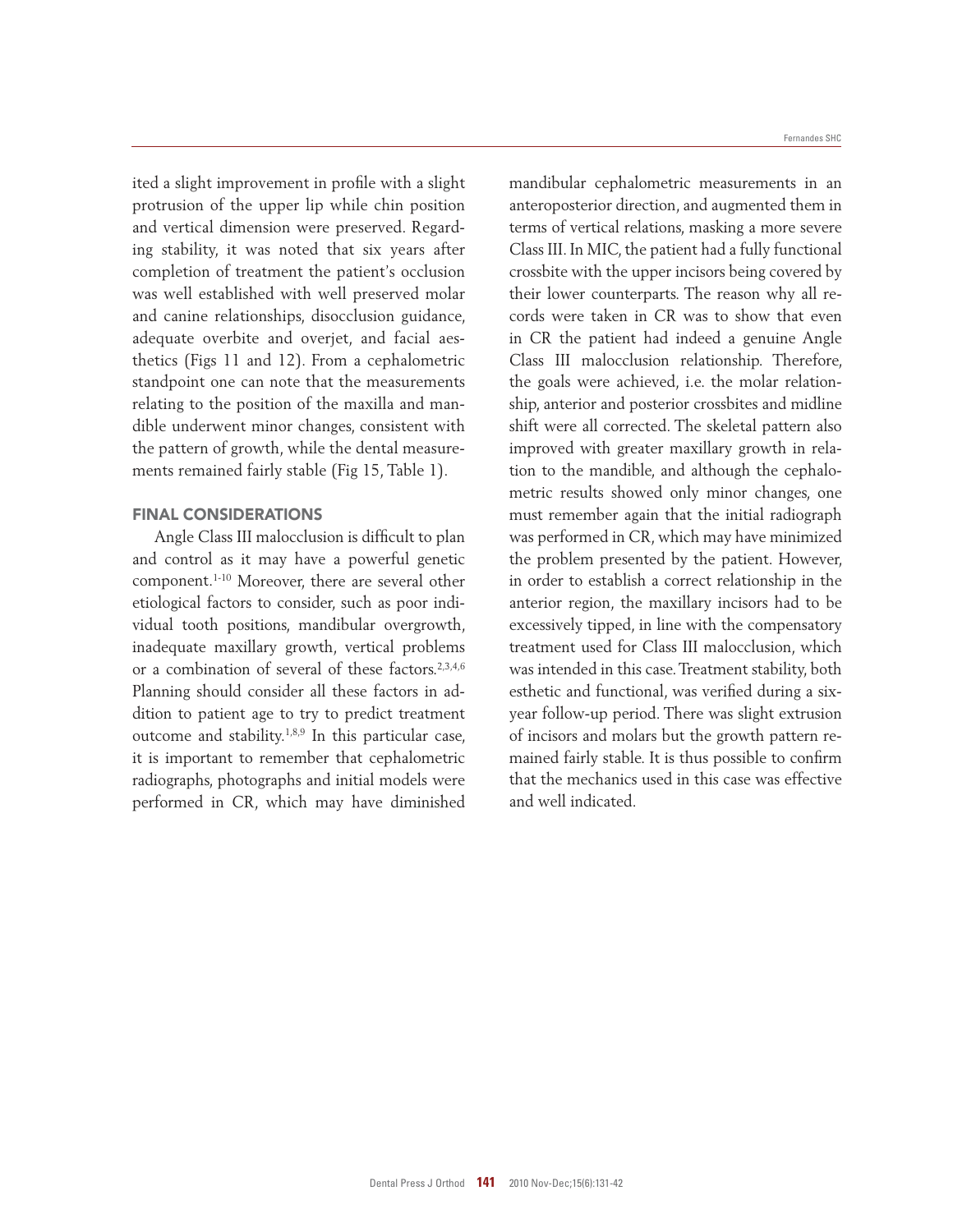ited a slight improvement in profile with a slight protrusion of the upper lip while chin position and vertical dimension were preserved. Regarding stability, it was noted that six years after completion of treatment the patient's occlusion was well established with well preserved molar and canine relationships, disocclusion guidance, adequate overbite and overjet, and facial aesthetics (Figs 11 and 12). From a cephalometric standpoint one can note that the measurements relating to the position of the maxilla and mandible underwent minor changes, consistent with the pattern of growth, while the dental measurements remained fairly stable (Fig 15, Table 1).

## FInAL COnSIDERAtIOnS

Angle Class III malocclusion is difficult to plan and control as it may have a powerful genetic component.1-10 Moreover, there are several other etiological factors to consider, such as poor individual tooth positions, mandibular overgrowth, inadequate maxillary growth, vertical problems or a combination of several of these factors.<sup>2,3,4,6</sup> Planning should consider all these factors in addition to patient age to try to predict treatment outcome and stability.1,8,9 In this particular case, it is important to remember that cephalometric radiographs, photographs and initial models were performed in CR, which may have diminished

mandibular cephalometric measurements in an anteroposterior direction, and augmented them in terms of vertical relations, masking a more severe Class III. In MIC, the patient had a fully functional crossbite with the upper incisors being covered by their lower counterparts. The reason why all records were taken in CR was to show that even in CR the patient had indeed a genuine Angle Class III malocclusion relationship. Therefore, the goals were achieved, i.e. the molar relationship, anterior and posterior crossbites and midline shift were all corrected. The skeletal pattern also improved with greater maxillary growth in relation to the mandible, and although the cephalometric results showed only minor changes, one must remember again that the initial radiograph was performed in CR, which may have minimized the problem presented by the patient. However, in order to establish a correct relationship in the anterior region, the maxillary incisors had to be excessively tipped, in line with the compensatory treatment used for Class III malocclusion, which was intended in this case. Treatment stability, both esthetic and functional, was verified during a sixyear follow-up period. There was slight extrusion of incisors and molars but the growth pattern remained fairly stable. It is thus possible to confirm that the mechanics used in this case was effective and well indicated.